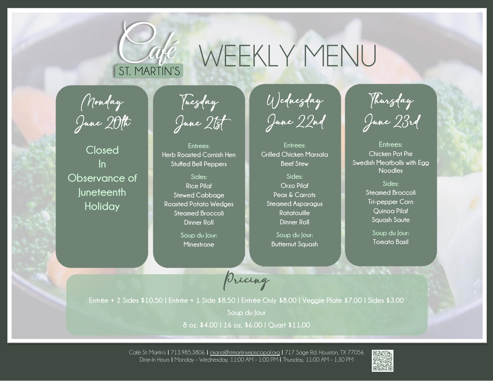

## WEEKLY MENU

Monday  $\frac{1}{2}$ June  $\frac{1}{2}$ 

**Closed In Observance of Juneteenth Holiday**

Tuesday June 21st

**Entrees: Herb Roasted Cornish Hen Stuffed Bell Peppers**

**Sides: Rice Pilaf Stewed Cabbage Roasted Potato Wedges Steamed Broccoli Dinner Roll**

> **Soup du Jour: Minestrone**

Wednesday June 22nd

**Entrees: Grilled Chicken Marsala Beef Stew**

**Sides: Orzo Pilaf Peas & Carrots Steamed Asparagus Ratatouille Dinner Roll**

**Soup du Jour: Butternut Squash**

**Church** 

Thursday June 23rd

**Entrees: Chicken Pot Pie Swedish Meatballs with Egg Noodles**

> **Sides: Steamed Broccoli Tri-pepper Corn Quinoa Pilaf Squash Saute**

> > **Soup du Jour: Tomato Basil**

Pricing

**Entrée + 2 Sides \$10.50 | Entrée + 1 Side \$8.50 | Entrée Only \$8.00 | Veggie Plate \$7.00 | Sides \$3.00**

**Soup du Jour**

**8 oz. \$4.00 | 16 oz. \$6.00 | Quart \$11.00**